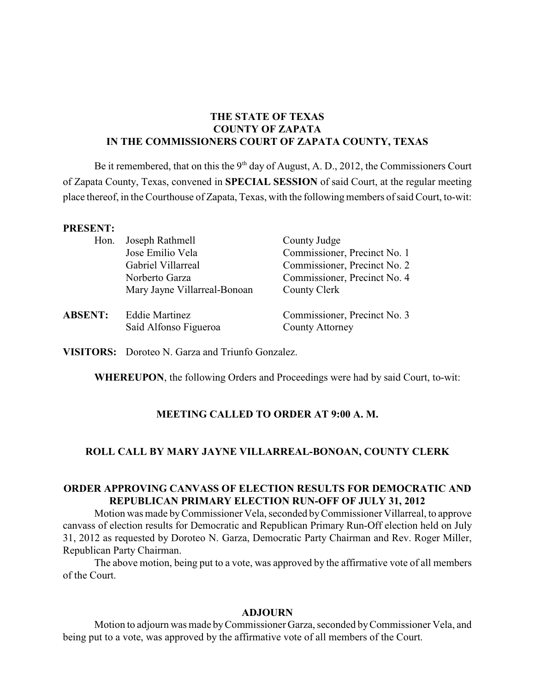# **THE STATE OF TEXAS COUNTY OF ZAPATA IN THE COMMISSIONERS COURT OF ZAPATA COUNTY, TEXAS**

Be it remembered, that on this the  $9<sup>th</sup>$  day of August, A. D., 2012, the Commissioners Court of Zapata County, Texas, convened in **SPECIAL SESSION** of said Court, at the regular meeting place thereof, in the Courthouse of Zapata, Texas, with the following members of said Court, to-wit:

#### **PRESENT:**

| Hon.           | Joseph Rathmell              | County Judge                 |
|----------------|------------------------------|------------------------------|
|                | Jose Emilio Vela             | Commissioner, Precinct No. 1 |
|                | Gabriel Villarreal           | Commissioner, Precinct No. 2 |
|                | Norberto Garza               | Commissioner, Precinct No. 4 |
|                | Mary Jayne Villarreal-Bonoan | County Clerk                 |
| <b>ABSENT:</b> | <b>Eddie Martinez</b>        | Commissioner, Precinct No. 3 |
|                | Saíd Alfonso Figueroa        | <b>County Attorney</b>       |

**VISITORS:** Doroteo N. Garza and Triunfo Gonzalez.

**WHEREUPON**, the following Orders and Proceedings were had by said Court, to-wit:

### **MEETING CALLED TO ORDER AT 9:00 A. M.**

#### **ROLL CALL BY MARY JAYNE VILLARREAL-BONOAN, COUNTY CLERK**

## **ORDER APPROVING CANVASS OF ELECTION RESULTS FOR DEMOCRATIC AND REPUBLICAN PRIMARY ELECTION RUN-OFF OF JULY 31, 2012**

Motion was made byCommissioner Vela, seconded by Commissioner Villarreal, to approve canvass of election results for Democratic and Republican Primary Run-Off election held on July 31, 2012 as requested by Doroteo N. Garza, Democratic Party Chairman and Rev. Roger Miller, Republican Party Chairman.

The above motion, being put to a vote, was approved by the affirmative vote of all members of the Court.

#### **ADJOURN**

Motion to adjourn was made byCommissioner Garza, seconded by Commissioner Vela, and being put to a vote, was approved by the affirmative vote of all members of the Court.